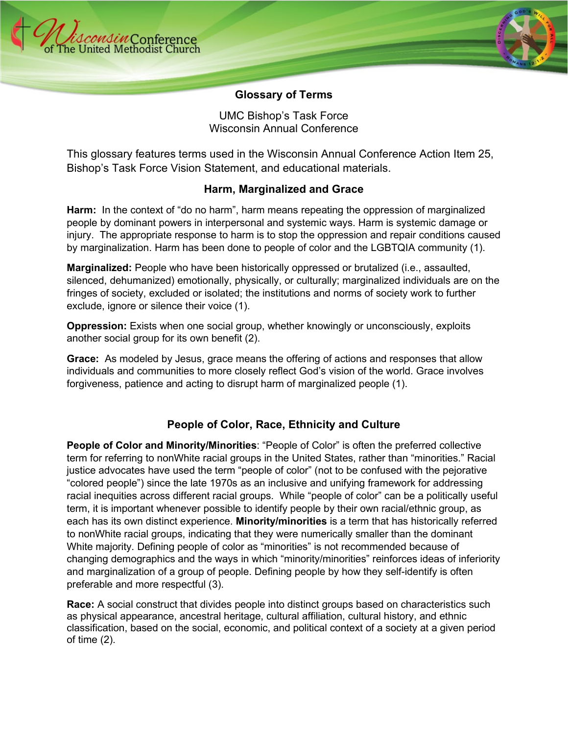



#### **Glossary of Terms**

UMC Bishop's Task Force Wisconsin Annual Conference

This glossary features terms used in the Wisconsin Annual Conference Action Item 25, Bishop's Task Force Vision Statement, and educational materials.

### **Harm, Marginalized and Grace**

**Harm:** In the context of "do no harm", harm means repeating the oppression of marginalized people by dominant powers in interpersonal and systemic ways. Harm is systemic damage or injury. The appropriate response to harm is to stop the oppression and repair conditions caused by marginalization. Harm has been done to people of color and the LGBTQIA community (1).

**Marginalized:** People who have been historically oppressed or brutalized (i.e., assaulted, silenced, dehumanized) emotionally, physically, or culturally; marginalized individuals are on the fringes of society, excluded or isolated; the institutions and norms of society work to further exclude, ignore or silence their voice (1).

**Oppression:** Exists when one social group, whether knowingly or unconsciously, exploits another social group for its own benefit (2).

**Grace:** As modeled by Jesus, grace means the offering of actions and responses that allow individuals and communities to more closely reflect God's vision of the world. Grace involves forgiveness, patience and acting to disrupt harm of marginalized people (1).

## **People of Color, Race, Ethnicity and Culture**

**People of Color and Minority/Minorities**: "People of Color" is often the preferred collective term for referring to nonWhite racial groups in the United States, rather than "minorities." Racial justice advocates have used the term "people of color" (not to be confused with the pejorative "colored people") since the late 1970s as an inclusive and unifying framework for addressing racial inequities across different racial groups. While "people of color" can be a politically useful term, it is important whenever possible to identify people by their own racial/ethnic group, as each has its own distinct experience. **Minority/minorities** is a term that has historically referred to nonWhite racial groups, indicating that they were numerically smaller than the dominant White majority. Defining people of color as "minorities" is not recommended because of changing demographics and the ways in which "minority/minorities" reinforces ideas of inferiority and marginalization of a group of people. Defining people by how they self-identify is often preferable and more respectful (3).

**Race:** A social construct that divides people into distinct groups based on characteristics such as physical appearance, ancestral heritage, cultural affiliation, cultural history, and ethnic classification, based on the social, economic, and political context of a society at a given period of time (2).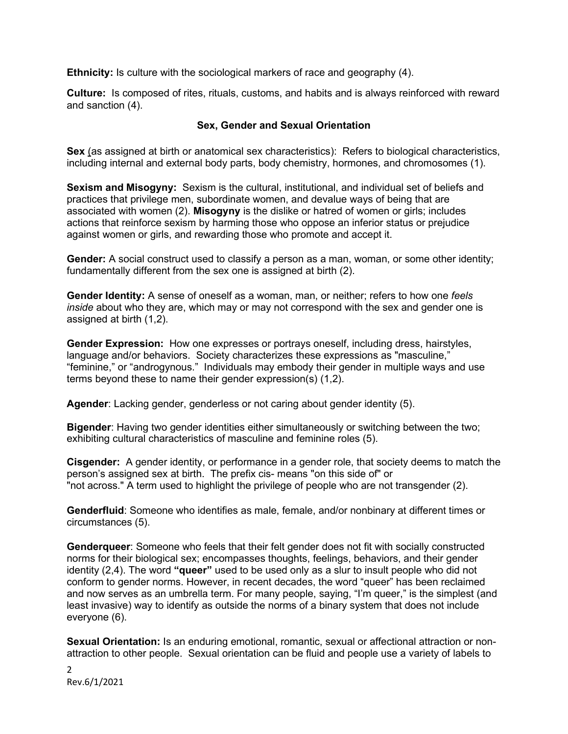**Ethnicity:** Is culture with the sociological markers of race and geography (4).

**Culture:** Is composed of rites, rituals, customs, and habits and is always reinforced with reward and sanction (4).

#### **Sex, Gender and Sexual Orientation**

**Sex** (as assigned at birth or anatomical sex characteristics): Refers to biological characteristics, including internal and external body parts, body chemistry, hormones, and chromosomes (1).

**Sexism and Misogyny:** Sexism is the cultural, institutional, and individual set of beliefs and practices that privilege men, subordinate women, and devalue ways of being that are associated with women (2). **Misogyny** is the dislike or hatred of women or girls; includes actions that reinforce sexism by harming those who oppose an inferior status or prejudice against women or girls, and rewarding those who promote and accept it.

**Gender:** A social construct used to classify a person as a man, woman, or some other identity; fundamentally different from the sex one is assigned at birth (2).

**Gender Identity:** A sense of oneself as a woman, man, or neither; refers to how one *feels inside* about who they are, which may or may not correspond with the sex and gender one is assigned at birth (1,2).

**Gender Expression:** How one expresses or portrays oneself, including dress, hairstyles, language and/or behaviors. Society characterizes these expressions as "masculine," "feminine," or "androgynous." Individuals may embody their gender in multiple ways and use terms beyond these to name their gender expression(s) (1.2).

**Agender**: Lacking gender, genderless or not caring about gender identity (5).

**Bigender**: Having two gender identities either simultaneously or switching between the two; exhibiting cultural characteristics of masculine and feminine roles (5).

**Cisgender:** A gender identity, or performance in a gender role, that society deems to match the person's assigned sex at birth. The prefix cis- means "on this side of" or "not across." A term used to highlight the privilege of people who are not transgender (2).

**Genderfluid**: Someone who identifies as male, female, and/or nonbinary at different times or circumstances (5).

**Genderqueer**: Someone who feels that their felt gender does not fit with socially constructed norms for their biological sex; encompasses thoughts, feelings, behaviors, and their gender identity (2,4). The word **"queer"** used to be used only as a slur to insult people who did not conform to gender norms. However, in recent decades, the word "queer" has been reclaimed and now serves as an umbrella term. For many people, saying, "I'm queer," is the simplest (and least invasive) way to identify as outside the norms of a binary system that does not include everyone (6).

**Sexual Orientation:** Is an enduring emotional, romantic, sexual or affectional attraction or nonattraction to other people. Sexual orientation can be fluid and people use a variety of labels to

2 Rev.6/1/2021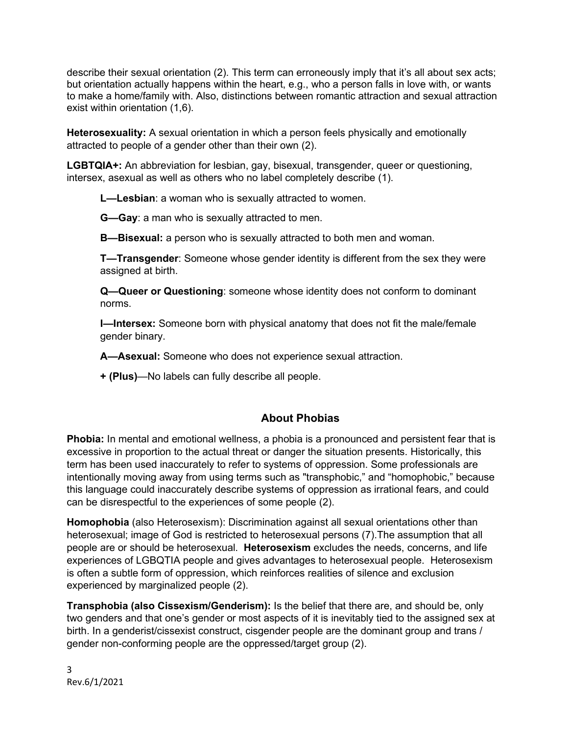describe their sexual orientation (2). This term can erroneously imply that it's all about sex acts; but orientation actually happens within the heart, e.g., who a person falls in love with, or wants to make a home/family with. Also, distinctions between romantic attraction and sexual attraction exist within orientation (1,6).

**Heterosexuality:** A sexual orientation in which a person feels physically and emotionally attracted to people of a gender other than their own (2).

**LGBTQIA+:** An abbreviation for lesbian, gay, bisexual, transgender, queer or questioning, intersex, asexual as well as others who no label completely describe (1).

**L—Lesbian**: a woman who is sexually attracted to women.

**G—Gay**: a man who is sexually attracted to men.

**B—Bisexual:** a person who is sexually attracted to both men and woman.

**T—Transgender**: Someone whose gender identity is different from the sex they were assigned at birth.

**Q—Queer or Questioning**: someone whose identity does not conform to dominant norms.

**I—Intersex:** Someone born with physical anatomy that does not fit the male/female gender binary.

**A—Asexual:** Someone who does not experience sexual attraction.

**+ (Plus)**—No labels can fully describe all people.

## **About Phobias**

**Phobia:** In mental and emotional wellness, a phobia is a pronounced and persistent fear that is excessive in proportion to the actual threat or danger the situation presents. Historically, this term has been used inaccurately to refer to systems of oppression. Some professionals are intentionally moving away from using terms such as "transphobic," and "homophobic," because this language could inaccurately describe systems of oppression as irrational fears, and could can be disrespectful to the experiences of some people (2).

**Homophobia** (also Heterosexism): Discrimination against all sexual orientations other than heterosexual; image of God is restricted to heterosexual persons (7).The assumption that all people are or should be heterosexual. **Heterosexism** excludes the needs, concerns, and life experiences of LGBQTIA people and gives advantages to heterosexual people. Heterosexism is often a subtle form of oppression, which reinforces realities of silence and exclusion experienced by marginalized people (2).

**Transphobia (also Cissexism/Genderism):** Is the belief that there are, and should be, only two genders and that one's gender or most aspects of it is inevitably tied to the assigned sex at birth. In a genderist/cissexist construct, cisgender people are the dominant group and trans / gender non-conforming people are the oppressed/target group (2).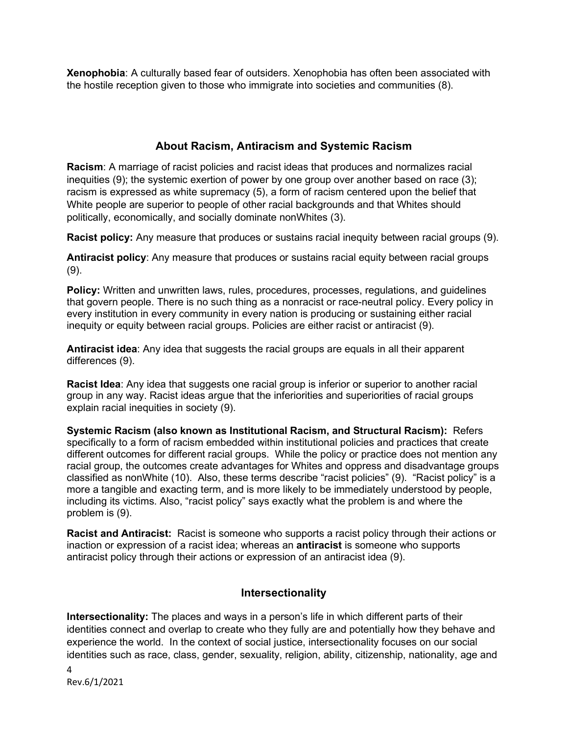**Xenophobia**: A culturally based fear of outsiders. Xenophobia has often been associated with the hostile reception given to those who immigrate into societies and communities (8).

# **About Racism, Antiracism and Systemic Racism**

**Racism**: A marriage of racist policies and racist ideas that produces and normalizes racial inequities (9); the systemic exertion of power by one group over another based on race (3); racism is expressed as white supremacy (5), a form of racism centered upon the belief that White people are superior to people of other racial backgrounds and that Whites should politically, economically, and socially dominate nonWhites (3).

**Racist policy:** Any measure that produces or sustains racial inequity between racial groups (9).

**Antiracist policy**: Any measure that produces or sustains racial equity between racial groups (9).

**Policy:** Written and unwritten laws, rules, procedures, processes, regulations, and guidelines that govern people. There is no such thing as a nonracist or race-neutral policy. Every policy in every institution in every community in every nation is producing or sustaining either racial inequity or equity between racial groups. Policies are either racist or antiracist (9).

**Antiracist idea**: Any idea that suggests the racial groups are equals in all their apparent differences (9).

**Racist Idea**: Any idea that suggests one racial group is inferior or superior to another racial group in any way. Racist ideas argue that the inferiorities and superiorities of racial groups explain racial inequities in society (9).

**Systemic Racism (also known as Institutional Racism, and Structural Racism):** Refers specifically to a form of racism embedded within institutional policies and practices that create different outcomes for different racial groups. While the policy or practice does not mention any racial group, the outcomes create advantages for Whites and oppress and disadvantage groups classified as nonWhite (10). Also, these terms describe "racist policies" (9). "Racist policy" is a more a tangible and exacting term, and is more likely to be immediately understood by people, including its victims. Also, "racist policy" says exactly what the problem is and where the problem is (9).

**Racist and Antiracist:** Racist is someone who supports a racist policy through their actions or inaction or expression of a racist idea; whereas an **antiracist** is someone who supports antiracist policy through their actions or expression of an antiracist idea (9).

## **Intersectionality**

**Intersectionality:** The places and ways in a person's life in which different parts of their identities connect and overlap to create who they fully are and potentially how they behave and experience the world. In the context of social justice, intersectionality focuses on our social identities such as race, class, gender, sexuality, religion, ability, citizenship, nationality, age and

4 Rev.6/1/2021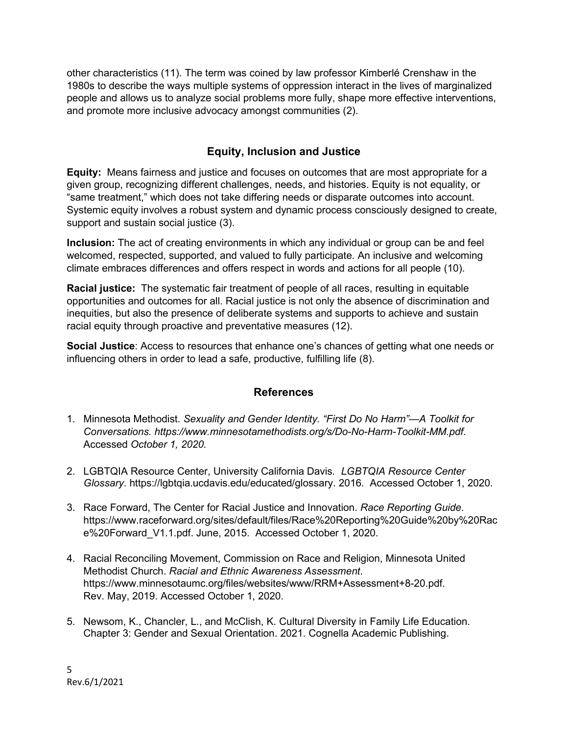other characteristics (11). The term was coined by law professor Kimberlé Crenshaw in the 1980s to describe the ways multiple systems of oppression interact in the lives of marginalized people and allows us to analyze social problems more fully, shape more effective interventions, and promote more inclusive advocacy amongst communities (2).

# **Equity, Inclusion and Justice**

**Equity:** Means fairness and justice and focuses on outcomes that are most appropriate for a given group, recognizing different challenges, needs, and histories. Equity is not equality, or "same treatment," which does not take differing needs or disparate outcomes into account. Systemic equity involves a robust system and dynamic process consciously designed to create, support and sustain social justice (3).

**Inclusion:** The act of creating environments in which any individual or group can be and feel welcomed, respected, supported, and valued to fully participate. An inclusive and welcoming climate embraces differences and offers respect in words and actions for all people (10).

**Racial justice:** The systematic fair treatment of people of all races, resulting in equitable opportunities and outcomes for all. Racial justice is not only the absence of discrimination and inequities, but also the presence of deliberate systems and supports to achieve and sustain racial equity through proactive and preventative measures (12).

**Social Justice**: Access to resources that enhance one's chances of getting what one needs or influencing others in order to lead a safe, productive, fulfilling life (8).

### **References**

- 1. Minnesota Methodist. *Sexuality and Gender Identity. "First Do No Harm"—A Toolkit for Conversations. [https://www.minnesotamethodists.org/s/Do-No-Harm-Toolkit-MM.pdf.](about:blank)*  Accessed *October 1, 2020.*
- 2. [LGBTQIA Resource Center,](about:blank) University California Davis*. LGBTQIA Resource Center Glossary*. [https://lgbtqia.ucdavis.edu/educated/glossary.](about:blank) 2016. Accessed October 1, 2020.
- 3. Race Forward, The Center for Racial Justice and Innovation. *Race Reporting Guide*. [https://www.raceforward.org/sites/default/files/Race%20Reporting%20Guide%20by%20Rac](about:blank) [e%20Forward\\_V1.1.pdf.](about:blank) June, 2015. Accessed October 1, 2020.
- 4. Racial Reconciling Movement, Commission on Race and Religion, Minnesota United Methodist Church. *Racial and Ethnic Awareness Assessment.* [https://www.minnesotaumc.org/files/websites/www/RRM+Assessment+8-20.pdf.](about:blank) Rev. May, 2019. Accessed October 1, 2020.
- 5. Newsom, K., Chancler, L., and McClish, K. Cultural Diversity in Family Life Education. Chapter 3: Gender and Sexual Orientation. 2021. Cognella Academic Publishing.